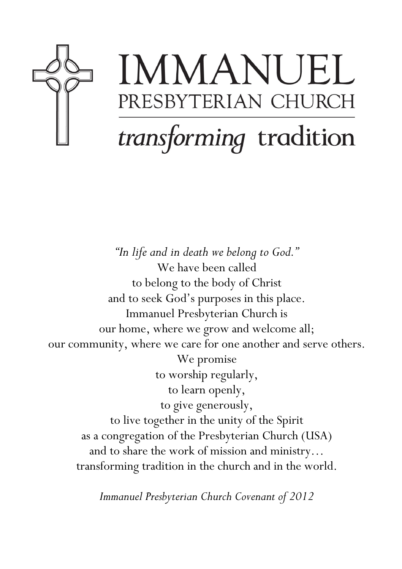

# IMMANUEL PRESBYTERIAN CHURCH transforming tradition

"In life and in death we belong to God." We have been called to belong to the body of Christ and to seek God's purposes in this place. Immanuel Presbyterian Church is our home, where we grow and welcome all; our community, where we care for one another and serve others. We promise to worship regularly, to learn openly, to give generously, to live together in the unity of the Spirit as a congregation of the Presbyterian Church (USA) and to share the work of mission and ministry… transforming tradition in the church and in the world.

Immanuel Presbyterian Church Covenant of 2012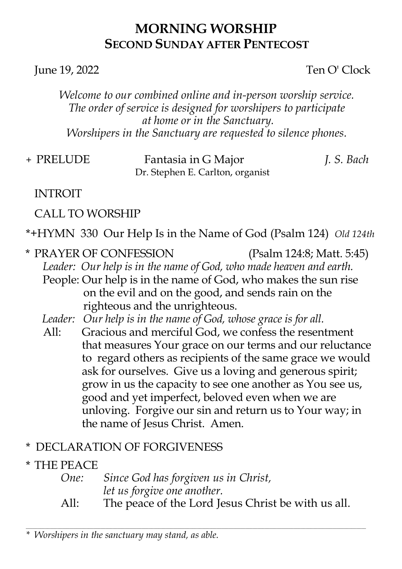#### MORNING WORSHIP SECOND SUNDAY AFTER PENTECOST

#### June 19, 2022 Ten O' Clock

Welcome to our combined online and in-person worship service. The order of service is designed for worshipers to participate at home or in the Sanctuary. Worshipers in the Sanctuary are requested to silence phones.

| + PRELUDE | Fantasia in G Major              | J. S. Bach |
|-----------|----------------------------------|------------|
|           | Dr. Stephen E. Carlton, organist |            |

#### INTROIT

#### CALL TO WORSHIP

\*+HYMN 330 Our Help Is in the Name of God (Psalm 124) Old 124th

- \* PRAYER OF CONFESSION (Psalm 124:8; Matt. 5:45) Leader: Our help is in the name of God, who made heaven and earth. People: Our help is in the name of God, who makes the sun rise on the evil and on the good, and sends rain on the righteous and the unrighteous.
	- Leader: Our help is in the name of God, whose grace is for all.
	- All: Gracious and merciful God, we confess the resentment that measures Your grace on our terms and our reluctance to regard others as recipients of the same grace we would ask for ourselves. Give us a loving and generous spirit; grow in us the capacity to see one another as You see us, good and yet imperfect, beloved even when we are unloving. Forgive our sin and return us to Your way; in the name of Jesus Christ. Amen.

#### \* DECLARATION OF FORGIVENESS

#### \* THE PEACE

#### One: Since God has forgiven us in Christ, let us forgive one another.

All: The peace of the Lord Jesus Christ be with us all.

\_\_\_\_\_\_\_\_\_\_\_\_\_\_\_\_\_\_\_\_\_\_\_\_\_\_\_\_\_\_\_\_\_\_\_\_\_\_\_\_\_\_\_\_\_\_\_\_\_\_\_\_\_\_\_\_\_\_\_\_\_\_\_\_\_\_\_\_\_\_\_\_\_\_\_\_\_\_\_\_\_\_\_\_\_\_\_\_\_\_\_\_\_\_\_\_\_\_\_\_\_\_\_\_\_\_\_\_\_\_\_\_\_\_\_\_\_\_\_\_\_\_\_\_\_\_\_\_\_\_\_\_\_\_\_\_\_\_\_\_\_

Worshipers in the sanctuary may stand, as able.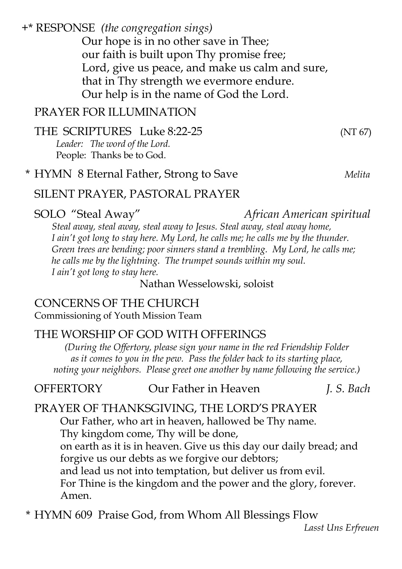+\* RESPONSE (the congregation sings)

Our hope is in no other save in Thee; our faith is built upon Thy promise free; Lord, give us peace, and make us calm and sure, that in Thy strength we evermore endure. Our help is in the name of God the Lord.

#### PRAYER FOR ILLUMINATION

THE SCRIPTURES Luke 8:22-25 (NT 67) Leader: The word of the Lord. People: Thanks be to God.

#### \* HYMN 8 Eternal Father, Strong to Save Melita

#### SILENT PRAYER, PASTORAL PRAYER

#### SOLO "Steal Away" African American spiritual

Steal away, steal away, steal away to Jesus. Steal away, steal away home, I ain't got long to stay here. My Lord, he calls me; he calls me by the thunder. Green trees are bending; poor sinners stand a trembling. My Lord, he calls me; he calls me by the lightning. The trumpet sounds within my soul. I ain't got long to stay here.

Nathan Wesselowski, soloist

#### CONCERNS OF THE CHURCH Commissioning of Youth Mission Team

#### THE WORSHIP OF GOD WITH OFFERINGS

(During the Offertory, please sign your name in the red Friendship Folder as it comes to you in the pew. Pass the folder back to its starting place, noting your neighbors. Please greet one another by name following the service.)

#### OFFERTORY Our Father in Heaven *I. S. Bach*

#### PRAYER OF THANKSGIVING, THE LORD'S PRAYER

Our Father, who art in heaven, hallowed be Thy name. Thy kingdom come, Thy will be done, on earth as it is in heaven. Give us this day our daily bread; and forgive us our debts as we forgive our debtors; and lead us not into temptation, but deliver us from evil. For Thine is the kingdom and the power and the glory, forever. Amen.

\* HYMN 609 Praise God, from Whom All Blessings Flow

Lasst Uns Erfreuen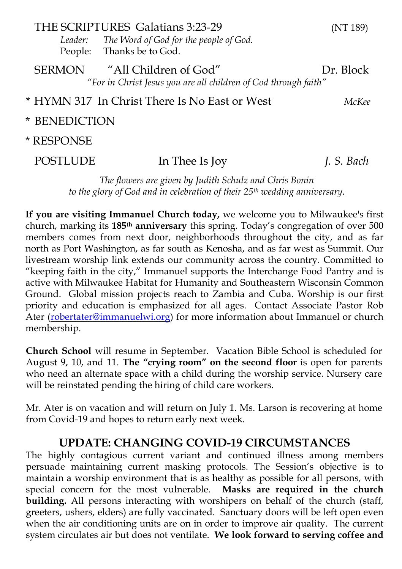|                                                                                                                        | THE SCRIPTURES Galatians 3:23-29<br>(NT 189)<br>Leader: The Word of God for the people of God.<br>People: Thanks be to God. |            |  |  |
|------------------------------------------------------------------------------------------------------------------------|-----------------------------------------------------------------------------------------------------------------------------|------------|--|--|
| "All Children of God"<br><b>SERMON</b><br>Dr. Block<br>"For in Christ Jesus you are all children of God through faith" |                                                                                                                             |            |  |  |
| * HYMN 317 In Christ There Is No East or West<br>McKee                                                                 |                                                                                                                             |            |  |  |
| * BENEDICTION                                                                                                          |                                                                                                                             |            |  |  |
| * RESPONSE                                                                                                             |                                                                                                                             |            |  |  |
| <b>POSTLUDE</b>                                                                                                        | In Thee Is Joy                                                                                                              | J. S. Bach |  |  |
|                                                                                                                        |                                                                                                                             |            |  |  |

The flowers are given by Judith Schulz and Chris Bonin to the glory of God and in celebration of their  $25<sup>th</sup>$  wedding anniversary.

If you are visiting Immanuel Church today, we welcome you to Milwaukee's first church, marking its 185th anniversary this spring. Today's congregation of over 500 members comes from next door, neighborhoods throughout the city, and as far north as Port Washington, as far south as Kenosha, and as far west as Summit. Our livestream worship link extends our community across the country. Committed to "keeping faith in the city," Immanuel supports the Interchange Food Pantry and is active with Milwaukee Habitat for Humanity and Southeastern Wisconsin Common Ground. Global mission projects reach to Zambia and Cuba. Worship is our first priority and education is emphasized for all ages. Contact Associate Pastor Rob Ater (robertater@immanuelwi.org) for more information about Immanuel or church membership.

Church School will resume in September. Vacation Bible School is scheduled for August 9, 10, and 11. The "crying room" on the second floor is open for parents who need an alternate space with a child during the worship service. Nursery care will be reinstated pending the hiring of child care workers.

Mr. Ater is on vacation and will return on July 1. Ms. Larson is recovering at home from Covid-19 and hopes to return early next week.

#### UPDATE: CHANGING COVID-19 CIRCUMSTANCES

The highly contagious current variant and continued illness among members persuade maintaining current masking protocols. The Session's objective is to maintain a worship environment that is as healthy as possible for all persons, with special concern for the most vulnerable. Masks are required in the church special concern for the most vulnerable. building. All persons interacting with worshipers on behalf of the church (staff, greeters, ushers, elders) are fully vaccinated. Sanctuary doors will be left open even when the air conditioning units are on in order to improve air quality. The current system circulates air but does not ventilate. We look forward to serving coffee and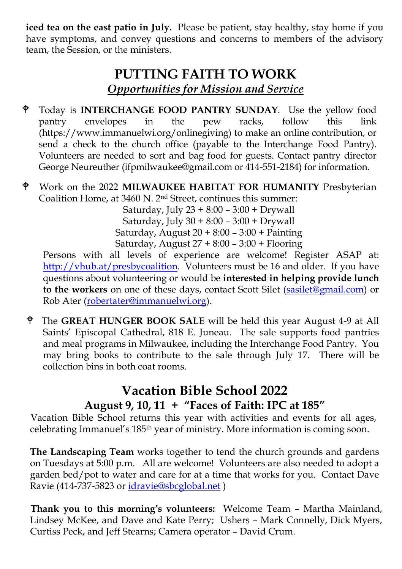iced tea on the east patio in July. Please be patient, stay healthy, stay home if you have symptoms, and convey questions and concerns to members of the advisory team, the Session, or the ministers.

#### PUTTING FAITH TO WORK Opportunities for Mission and Service

- Today is INTERCHANGE FOOD PANTRY SUNDAY. Use the yellow food pantry envelopes in the pew racks, follow this link (https://www.immanuelwi.org/onlinegiving) to make an online contribution, or send a check to the church office (payable to the Interchange Food Pantry). Volunteers are needed to sort and bag food for guests. Contact pantry director George Neureuther (ifpmilwaukee@gmail.com or 414-551-2184) for information.
- Work on the 2022 MILWAUKEE HABITAT FOR HUMANITY Presbyterian Coalition Home, at 3460 N. 2nd Street, continues this summer:

Saturday, July 23 + 8:00 – 3:00 + Drywall Saturday, July 30 + 8:00 – 3:00 + Drywall Saturday, August 20 + 8:00 – 3:00 + Painting Saturday, August 27 + 8:00 – 3:00 + Flooring

Persons with all levels of experience are welcome! Register ASAP at: http://vhub.at/presbycoalition. Volunteers must be 16 and older. If you have questions about volunteering or would be interested in helping provide lunch to the workers on one of these days, contact Scott Silet (sasilet@gmail.com) or Rob Ater (robertater@immanuelwi.org).

 The GREAT HUNGER BOOK SALE will be held this year August 4-9 at All Saints' Episcopal Cathedral, 818 E. Juneau. The sale supports food pantries and meal programs in Milwaukee, including the Interchange Food Pantry. You may bring books to contribute to the sale through July 17. There will be collection bins in both coat rooms.

#### Vacation Bible School 2022 August 9, 10, 11 + "Faces of Faith: IPC at 185"

 Vacation Bible School returns this year with activities and events for all ages, celebrating Immanuel's 185th year of ministry. More information is coming soon.

The Landscaping Team works together to tend the church grounds and gardens on Tuesdays at 5:00 p.m. All are welcome! Volunteers are also needed to adopt a garden bed/pot to water and care for at a time that works for you. Contact Dave Ravie (414-737-5823 or idravie@sbcglobal.net )

 Thank you to this morning's volunteers: Welcome Team – Martha Mainland, Lindsey McKee, and Dave and Kate Perry; Ushers – Mark Connelly, Dick Myers, Curtiss Peck, and Jeff Stearns; Camera operator – David Crum.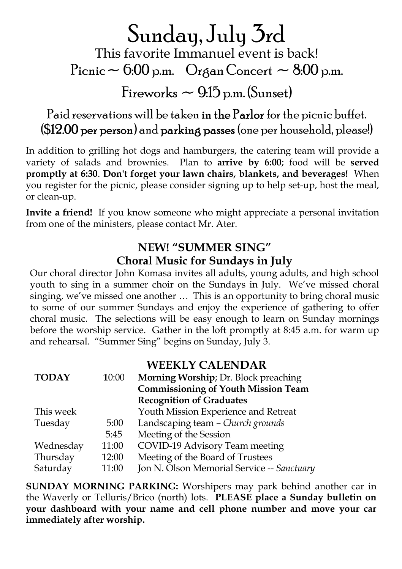## Sunday, July 3rd

This favorite Immanuel event is back! Picnic  $\sim 6.00$  p.m. Organ Concert  $\sim 8.00$  p.m.

Fireworks  $\sim$  9:15 p.m. (Sunset)

Paid reservations will be taken in the Parlor for the picnic buffet. (\$12.00 per person) and parking passes (one per household, please!)

In addition to grilling hot dogs and hamburgers, the catering team will provide a variety of salads and brownies. Plan to arrive by 6:00; food will be served promptly at 6:30. Don't forget your lawn chairs, blankets, and beverages! When you register for the picnic, please consider signing up to help set-up, host the meal, or clean-up.

Invite a friend! If you know someone who might appreciate a personal invitation from one of the ministers, please contact Mr. Ater.

#### NEW! "SUMMER SING" Choral Music for Sundays in July

Our choral director John Komasa invites all adults, young adults, and high school youth to sing in a summer choir on the Sundays in July. We've missed choral singing, we've missed one another … This is an opportunity to bring choral music to some of our summer Sundays and enjoy the experience of gathering to offer choral music. The selections will be easy enough to learn on Sunday mornings before the worship service. Gather in the loft promptly at 8:45 a.m. for warm up and rehearsal. "Summer Sing" begins on Sunday, July 3.

#### WEEKLY CALENDAR

| <b>TODAY</b> | 10:00 | Morning Worship; Dr. Block preaching       |
|--------------|-------|--------------------------------------------|
|              |       | <b>Commissioning of Youth Mission Team</b> |
|              |       | <b>Recognition of Graduates</b>            |
| This week    |       | Youth Mission Experience and Retreat       |
| Tuesday      | 5:00  | Landscaping team - Church grounds          |
|              | 5:45  | Meeting of the Session                     |
| Wednesday    | 11:00 | COVID-19 Advisory Team meeting             |
| Thursday     | 12:00 | Meeting of the Board of Trustees           |
| Saturday     | 11:00 | Jon N. Olson Memorial Service -- Sanctuary |

SUNDAY MORNING PARKING: Worshipers may park behind another car in the Waverly or Telluris/Brico (north) lots. PLEASE place a Sunday bulletin on your dashboard with your name and cell phone number and move your car immediately after worship.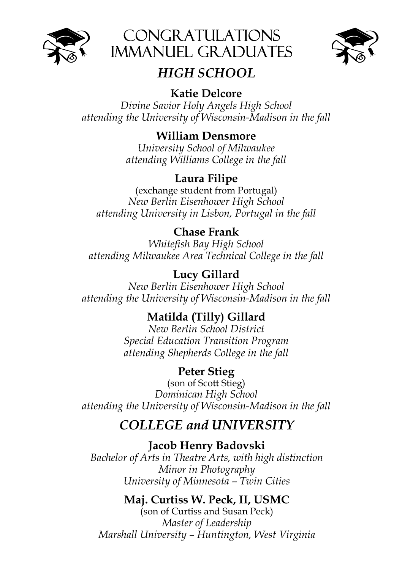





### HIGH SCHOOL

#### Katie Delcore

Divine Savior Holy Angels High School attending the University of Wisconsin-Madison in the fall

#### William Densmore

University School of Milwaukee attending Williams College in the fall

#### Laura Filipe

(exchange student from Portugal) New Berlin Eisenhower High School attending University in Lisbon, Portugal in the fall

#### Chase Frank

Whitefish Bay High School attending Milwaukee Area Technical College in the fall

#### Lucy Gillard

New Berlin Eisenhower High School attending the University of Wisconsin-Madison in the fall

#### Matilda (Tilly) Gillard

New Berlin School District Special Education Transition Program attending Shepherds College in the fall

#### Peter Stieg

(son of Scott Stieg) Dominican High School attending the University of Wisconsin-Madison in the fall

### COLLEGE and UNIVERSITY

Jacob Henry Badovski

Bachelor of Arts in Theatre Arts, with high distinction Minor in Photography University of Minnesota – Twin Cities

#### Maj. Curtiss W. Peck, II, USMC

(son of Curtiss and Susan Peck) Master of Leadership Marshall University – Huntington, West Virginia